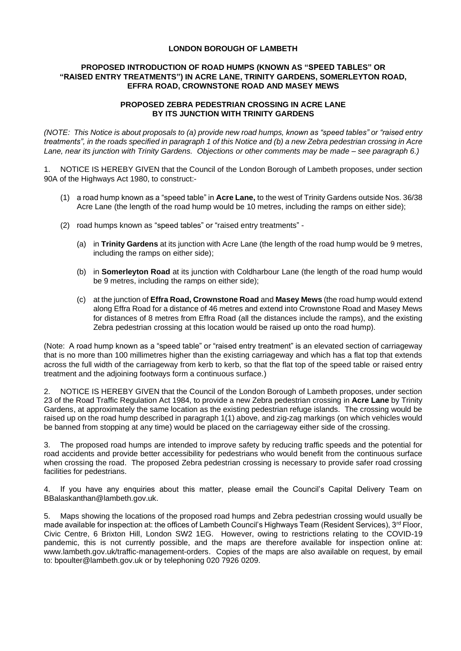## **LONDON BOROUGH OF LAMBETH**

## **PROPOSED INTRODUCTION OF ROAD HUMPS (KNOWN AS "SPEED TABLES" OR "RAISED ENTRY TREATMENTS") IN ACRE LANE, TRINITY GARDENS, SOMERLEYTON ROAD, EFFRA ROAD, CROWNSTONE ROAD AND MASEY MEWS**

## **PROPOSED ZEBRA PEDESTRIAN CROSSING IN ACRE LANE BY ITS JUNCTION WITH TRINITY GARDENS**

*(NOTE: This Notice is about proposals to (a) provide new road humps, known as "speed tables" or "raised entry treatments", in the roads specified in paragraph 1 of this Notice and (b) a new Zebra pedestrian crossing in Acre Lane, near its junction with Trinity Gardens. Objections or other comments may be made – see paragraph 6.)*

1. NOTICE IS HEREBY GIVEN that the Council of the London Borough of Lambeth proposes, under section 90A of the Highways Act 1980, to construct:-

- (1) a road hump known as a "speed table" in **Acre Lane,** to the west of Trinity Gardens outside Nos. 36/38 Acre Lane (the length of the road hump would be 10 metres, including the ramps on either side);
- (2) road humps known as "speed tables" or "raised entry treatments"
	- (a) in **Trinity Gardens** at its junction with Acre Lane (the length of the road hump would be 9 metres, including the ramps on either side);
	- (b) in **Somerleyton Road** at its junction with Coldharbour Lane (the length of the road hump would be 9 metres, including the ramps on either side);
	- (c) at the junction of **Effra Road, Crownstone Road** and **Masey Mews** (the road hump would extend along Effra Road for a distance of 46 metres and extend into Crownstone Road and Masey Mews for distances of 8 metres from Effra Road (all the distances include the ramps), and the existing Zebra pedestrian crossing at this location would be raised up onto the road hump).

(Note: A road hump known as a "speed table" or "raised entry treatment" is an elevated section of carriageway that is no more than 100 millimetres higher than the existing carriageway and which has a flat top that extends across the full width of the carriageway from kerb to kerb, so that the flat top of the speed table or raised entry treatment and the adjoining footways form a continuous surface.)

2. NOTICE IS HEREBY GIVEN that the Council of the London Borough of Lambeth proposes, under section 23 of the Road Traffic Regulation Act 1984, to provide a new Zebra pedestrian crossing in **Acre Lane** by Trinity Gardens, at approximately the same location as the existing pedestrian refuge islands. The crossing would be raised up on the road hump described in paragraph 1(1) above, and zig-zag markings (on which vehicles would be banned from stopping at any time) would be placed on the carriageway either side of the crossing.

3. The proposed road humps are intended to improve safety by reducing traffic speeds and the potential for road accidents and provide better accessibility for pedestrians who would benefit from the continuous surface when crossing the road. The proposed Zebra pedestrian crossing is necessary to provide safer road crossing facilities for pedestrians.

4. If you have any enquiries about this matter, please email the Council's Capital Delivery Team on [BBalaskanthan@lambeth.gov.uk.](mailto:BBalaskanthan@lambeth.gov.uk)

5. Maps showing the locations of the proposed road humps and Zebra pedestrian crossing would usually be made available for inspection at: the offices of Lambeth Council's Highways Team (Resident Services),  $3^{rd}$  Floor, Civic Centre, 6 Brixton Hill, London SW2 1EG. However, owing to restrictions relating to the COVID-19 pandemic, this is not currently possible, and the maps are therefore available for inspection online at: [www.lambeth.gov.uk/traffic-management-orders.](http://www.lambeth.gov.uk/traffic-management-orders) Copies of the maps are also available on request, by email to: [bpoulter@lambeth.gov.uk](mailto:bpoulter@lambeth.gov.uk) or by telephoning 020 7926 0209.